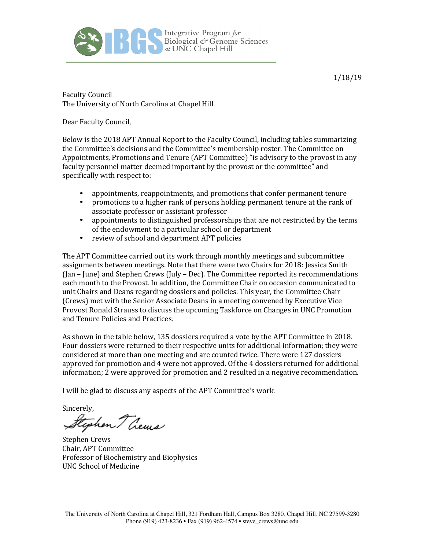

1/18/19

**Faculty Council** The University of North Carolina at Chapel Hill

Dear Faculty Council,

Below is the 2018 APT Annual Report to the Faculty Council, including tables summarizing the Committee's decisions and the Committee's membership roster. The Committee on Appointments, Promotions and Tenure (APT Committee) "is advisory to the provost in any faculty personnel matter deemed important by the provost or the committee" and specifically with respect to:

- appointments, reappointments, and promotions that confer permanent tenure
- promotions to a higher rank of persons holding permanent tenure at the rank of associate professor or assistant professor
- appointments to distinguished professorships that are not restricted by the terms of the endowment to a particular school or department
- review of school and department APT policies

The APT Committee carried out its work through monthly meetings and subcommittee assignments between meetings. Note that there were two Chairs for 2018: Jessica Smith (Jan – June) and Stephen Crews (July – Dec). The Committee reported its recommendations each month to the Provost. In addition, the Committee Chair on occasion communicated to unit Chairs and Deans regarding dossiers and policies. This year, the Committee Chair (Crews) met with the Senior Associate Deans in a meeting convened by Executive Vice Provost Ronald Strauss to discuss the upcoming Taskforce on Changes in UNC Promotion and Tenure Policies and Practices.

As shown in the table below, 135 dossiers required a vote by the APT Committee in 2018. Four dossiers were returned to their respective units for additional information; they were considered at more than one meeting and are counted twice. There were 127 dossiers approved for promotion and  $4$  were not approved. Of the  $4$  dossiers returned for additional information; 2 were approved for promotion and 2 resulted in a negative recommendation.

I will be glad to discuss any aspects of the APT Committee's work.

Sincerely,

Stephen Thems

Stephen Crews Chair, APT Committee Professor of Biochemistry and Biophysics UNC School of Medicine